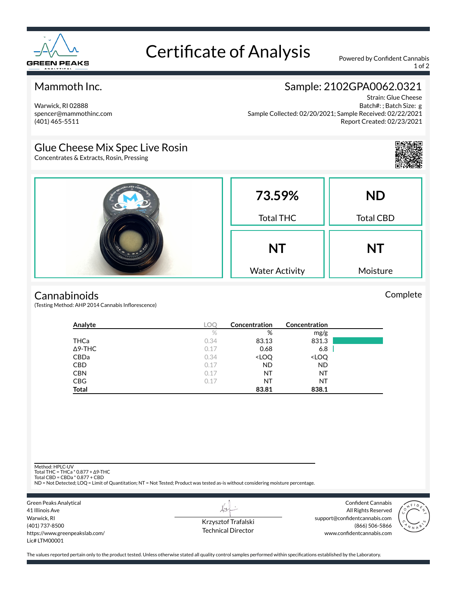

# Certificate of Analysis Powered by Confident Cannabis

1 of 2

## Mammoth Inc.

Warwick, RI 02888 spencer@mammothinc.com (401) 465-5511

# Sample: 2102GPA0062.0321

Strain: Glue Cheese Batch#: ; Batch Size: g Sample Collected: 02/20/2021; Sample Received: 02/22/2021 Report Created: 02/23/2021

## Glue Cheese Mix Spec Live Rosin

Concentrates & Extracts, Rosin, Pressing





#### **Cannabinoids**

(Testing Method: AHP 2014 Cannabis Inflorescence)

| Analyte        | <b>LOC</b> | Concentration                                            | <b>Concentration</b>         |  |
|----------------|------------|----------------------------------------------------------|------------------------------|--|
|                | $\%$       | %                                                        | mg/g                         |  |
| THCa           | 0.34       | 83.13                                                    | 831.3                        |  |
| $\Delta$ 9-THC | 0.17       | 0.68                                                     | 6.8                          |  |
| CBDa           | 0.34       | <loq< td=""><td><loq< td=""><td></td></loq<></td></loq<> | <loq< td=""><td></td></loq<> |  |
| <b>CBD</b>     | 0.17       | <b>ND</b>                                                | <b>ND</b>                    |  |
| <b>CBN</b>     | 0.17       | NT                                                       | NT                           |  |
| <b>CBG</b>     | 0.17       | NT                                                       | NT                           |  |
| <b>Total</b>   |            | 83.81                                                    | 838.1                        |  |

Method: HPLC-UV

Total THC = THCa \* 0.877 + ∆9-THC Total CBD = CBDa \* 0.877 + CBD

ND = Not Detected; LOQ = Limit of Quantitation; NT = Not Tested; Product was tested as-is without considering moisture percentage.



Krzysztof Trafalski Technical Director

L+

Confident Cannabis All Rights Reserved support@confidentcannabis.com (866) 506-5866 www.confidentcannabis.com



The values reported pertain only to the product tested. Unless otherwise stated all quality control samples performed within specifications established by the Laboratory.